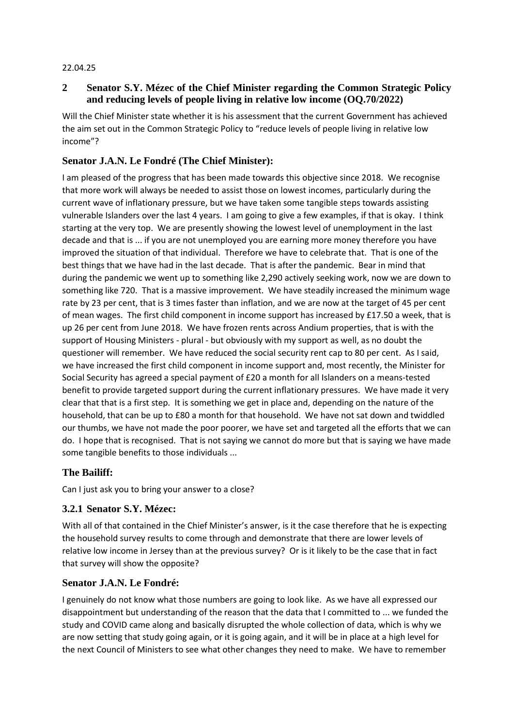#### 22.04.25

## **2 Senator S.Y. Mézec of the Chief Minister regarding the Common Strategic Policy and reducing levels of people living in relative low income (OQ.70/2022)**

Will the Chief Minister state whether it is his assessment that the current Government has achieved the aim set out in the Common Strategic Policy to "reduce levels of people living in relative low income"?

# **Senator J.A.N. Le Fondré (The Chief Minister):**

I am pleased of the progress that has been made towards this objective since 2018. We recognise that more work will always be needed to assist those on lowest incomes, particularly during the current wave of inflationary pressure, but we have taken some tangible steps towards assisting vulnerable Islanders over the last 4 years. I am going to give a few examples, if that is okay. I think starting at the very top. We are presently showing the lowest level of unemployment in the last decade and that is ... if you are not unemployed you are earning more money therefore you have improved the situation of that individual. Therefore we have to celebrate that. That is one of the best things that we have had in the last decade. That is after the pandemic. Bear in mind that during the pandemic we went up to something like 2,290 actively seeking work, now we are down to something like 720. That is a massive improvement. We have steadily increased the minimum wage rate by 23 per cent, that is 3 times faster than inflation, and we are now at the target of 45 per cent of mean wages. The first child component in income support has increased by £17.50 a week, that is up 26 per cent from June 2018. We have frozen rents across Andium properties, that is with the support of Housing Ministers - plural - but obviously with my support as well, as no doubt the questioner will remember. We have reduced the social security rent cap to 80 per cent. As I said, we have increased the first child component in income support and, most recently, the Minister for Social Security has agreed a special payment of £20 a month for all Islanders on a means-tested benefit to provide targeted support during the current inflationary pressures. We have made it very clear that that is a first step. It is something we get in place and, depending on the nature of the household, that can be up to £80 a month for that household. We have not sat down and twiddled our thumbs, we have not made the poor poorer, we have set and targeted all the efforts that we can do. I hope that is recognised. That is not saying we cannot do more but that is saying we have made some tangible benefits to those individuals ...

### **The Bailiff:**

Can I just ask you to bring your answer to a close?

### **3.2.1 Senator S.Y. Mézec:**

With all of that contained in the Chief Minister's answer, is it the case therefore that he is expecting the household survey results to come through and demonstrate that there are lower levels of relative low income in Jersey than at the previous survey? Or is it likely to be the case that in fact that survey will show the opposite?

### **Senator J.A.N. Le Fondré:**

I genuinely do not know what those numbers are going to look like. As we have all expressed our disappointment but understanding of the reason that the data that I committed to ... we funded the study and COVID came along and basically disrupted the whole collection of data, which is why we are now setting that study going again, or it is going again, and it will be in place at a high level for the next Council of Ministers to see what other changes they need to make. We have to remember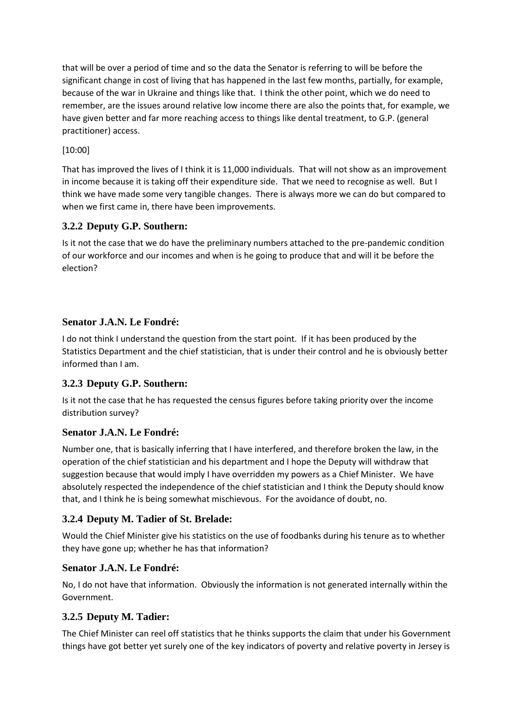that will be over a period of time and so the data the Senator is referring to will be before the significant change in cost of living that has happened in the last few months, partially, for example, because of the war in Ukraine and things like that. I think the other point, which we do need to remember, are the issues around relative low income there are also the points that, for example, we have given better and far more reaching access to things like dental treatment, to G.P. (general practitioner) access.

## [10:00]

That has improved the lives of I think it is 11,000 individuals. That will not show as an improvement in income because it is taking off their expenditure side. That we need to recognise as well. But I think we have made some very tangible changes. There is always more we can do but compared to when we first came in, there have been improvements.

### **3.2.2 Deputy G.P. Southern:**

Is it not the case that we do have the preliminary numbers attached to the pre-pandemic condition of our workforce and our incomes and when is he going to produce that and will it be before the election?

# **Senator J.A.N. Le Fondré:**

I do not think I understand the question from the start point. If it has been produced by the Statistics Department and the chief statistician, that is under their control and he is obviously better informed than I am.

# **3.2.3 Deputy G.P. Southern:**

Is it not the case that he has requested the census figures before taking priority over the income distribution survey?

### **Senator J.A.N. Le Fondré:**

Number one, that is basically inferring that I have interfered, and therefore broken the law, in the operation of the chief statistician and his department and I hope the Deputy will withdraw that suggestion because that would imply I have overridden my powers as a Chief Minister. We have absolutely respected the independence of the chief statistician and I think the Deputy should know that, and I think he is being somewhat mischievous. For the avoidance of doubt, no.

### **3.2.4 Deputy M. Tadier of St. Brelade:**

Would the Chief Minister give his statistics on the use of foodbanks during his tenure as to whether they have gone up; whether he has that information?

### **Senator J.A.N. Le Fondré:**

No, I do not have that information. Obviously the information is not generated internally within the Government.

### **3.2.5 Deputy M. Tadier:**

The Chief Minister can reel off statistics that he thinks supports the claim that under his Government things have got better yet surely one of the key indicators of poverty and relative poverty in Jersey is